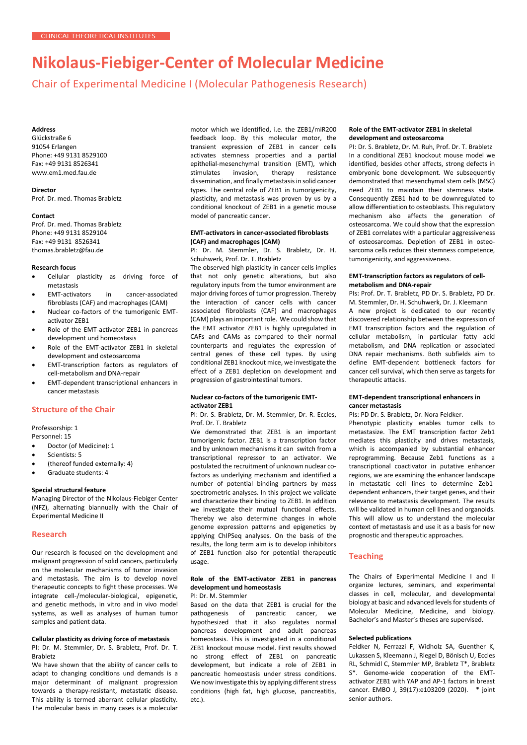# **Nikolaus-Fiebiger-Center of Molecular Medicine**

Chair of Experimental Medicine I (Molecular Pathogenesis Research)

## **Address**

Glückstraße 6 91054 Erlangen Phone: +49 9131 8529100 Fax: +49 9131 8526341 [www.em1.med.fau.de](http://www.em1.med.fau.de/)

#### **Director**

Prof. Dr. med. Thomas Brabletz

#### **Contact**

Prof. Dr. med. Thomas Brabletz Phone: +49 9131 8529104 Fax: +49 9131 8526341 [thomas.brabletz@fau.de](mailto:thomas.brabletz@fau.de)

## **Research focus**

- Cellular plasticity as driving force of metastasis
- EMT-activators in cancer-associated fibroblasts (CAF) and macrophages (CAM)
- Nuclear co-factors of the tumorigenic EMTactivator ZEB1
- Role of the EMT-activator ZEB1 in pancreas development und homeostasis
- Role of the EMT-activator ZEB1 in skeletal development and osteosarcoma
- EMT-transcription factors as regulators of cell-metabolism and DNA-repair
- EMT-dependent transcriptional enhancers in cancer metastasis

## **Structure of the Chair**

Professorship: 1

- Personnel: 15 • Doctor (of Medicine): 1
- Scientists: 5
- 
- (thereof funded externally: 4) • Graduate students: 4
- 

# **Special structural feature**

Managing Director of the Nikolaus-Fiebiger Center (NFZ), alternating biannually with the Chair of Experimental Medicine II

## **Research**

Our research is focused on the development and malignant progression of solid cancers, particularly on the molecular mechanisms of tumor invasion and metastasis. The aim is to develop novel therapeutic concepts to fight these processes. We integrate cell-/molecular-biological, epigenetic, and genetic methods, in vitro and in vivo model systems, as well as analyses of human tumor samples and patient data.

#### **Cellular plasticity as driving force of metastasis**

PI: Dr. M. Stemmler, Dr. S. Brabletz, Prof. Dr. T. Brabletz

We have shown that the ability of cancer cells to adapt to changing conditions und demands is a major determinant of malignant progression towards a therapy-resistant, metastatic disease. This ability is termed aberrant cellular plasticity. The molecular basis in many cases is a molecular

motor which we identified, i.e. the ZEB1/miR200 feedback loop. By this molecular motor, the transient expression of ZEB1 in cancer cells activates stemness properties and a partial epithelial-mesenchymal transition (EMT), which stimulates invasion, therapy resistance dissemination, and finally metastasis in solid cancer types. The central role of ZEB1 in tumorigenicity, plasticity, and metastasis was proven by us by a conditional knockout of ZEB1 in a genetic mouse model of pancreatic cancer.

## **EMT-activators in cancer-associated fibroblasts (CAF) and macrophages (CAM)**

PI: Dr. M. Stemmler, Dr. S. Brabletz, Dr. H. Schuhwerk, Prof. Dr. T. Brabletz

The observed high plasticity in cancer cells implies that not only genetic alterations, but also regulatory inputs from the tumor environment are major driving forces of tumor progression. Thereby the interaction of cancer cells with cancer associated fibroblasts (CAF) and macrophages (CAM) plays an important role. We could show that the EMT activator ZEB1 is highly upregulated in CAFs and CAMs as compared to their normal counterparts and regulates the expression of central genes of these cell types. By using conditional ZEB1 knockout mice, we investigate the effect of a ZEB1 depletion on development and progression of gastrointestinal tumors.

#### **Nuclear co-factors of the tumorigenic EMTactivator ZEB1**

PI: Dr. S. Brabletz, Dr. M. Stemmler, Dr. R. Eccles, Prof. Dr. T. Brabletz

We demonstrated that ZEB1 is an important tumorigenic factor. ZEB1 is a transcription factor and by unknown mechanisms it can switch from a transcriptional repressor to an activator. We postulated the recruitment of unknown nuclear cofactors as underlying mechanism and identified a number of potential binding partners by mass spectrometric analyses. In this project we validate and characterize their binding to ZEB1. In addition we investigate their mutual functional effects. Thereby we also determine changes in whole genome expression patterns and epigenetics by applying ChIPSeq analyses. On the basis of the results, the long term aim is to develop inhibitors of ZEB1 function also for potential therapeutic usage.

# **Role of the EMT-activator ZEB1 in pancreas development und homeostasis**

PI: Dr. M. Stemmler

Based on the data that ZEB1 is crucial for the pathogenesis of pancreatic cancer, we hypothesized that it also regulates normal pancreas development and adult pancreas homeostasis. This is investigated in a conditional ZEB1 knockout mouse model. First results showed no strong effect of ZEB1 on pancreatic development, but indicate a role of ZEB1 in pancreatic homeostasis under stress conditions. We now investigate this by applying different stress conditions (high fat, high glucose, pancreatitis, etc.).

#### **Role of the EMT-activator ZEB1 in skeletal development and osteosarcoma**

PI: Dr. S. Brabletz, Dr. M. Ruh, Prof. Dr. T. Brabletz In a conditional ZEB1 knockout mouse model we identified, besides other affects, strong defects in embryonic bone development. We subsequently demonstrated that mesenchymal stem cells (MSC) need ZEB1 to maintain their stemness state. Consequently ZEB1 had to be downregulated to allow differentiation to osteoblasts. This regulatory mechanism also affects the generation of osteosarcoma. We could show that the expression of ZEB1 correlates with a particular aggressiveness of osteosarcomas. Depletion of ZEB1 in osteosarcoma cells reduces their stemness competence, tumorigenicity, and aggressiveness.

#### **EMT-transcription factors as regulators of cellmetabolism and DNA-repair**

PIs: Prof. Dr. T. Brabletz, PD Dr. S. Brabletz, PD Dr. M. Stemmler, Dr. H. Schuhwerk, Dr. J. Kleemann A new project is dedicated to our recently discovered relationship between the expression of EMT transcription factors and the regulation of cellular metabolism, in particular fatty acid metabolism, and DNA replication or associated DNA repair mechanisms. Both subfields aim to define EMT-dependent bottleneck factors for cancer cell survival, which then serve as targets for therapeutic attacks.

#### **EMT-dependent transcriptional enhancers in cancer metastasis**

PIs: PD Dr. S. Brabletz, Dr. Nora Feldker.

Phenotypic plasticity enables tumor cells to metastasize. The EMT transcription factor Zeb1 mediates this plasticity and drives metastasis, which is accompanied by substantial enhancer reprogramming. Because Zeb1 functions as a transcriptional coactivator in putative enhancer regions, we are examining the enhancer landscape in metastatic cell lines to determine Zeb1 dependent enhancers, their target genes, and their relevance to metastasis development. The results will be validated in human cell lines and organoids. This will allow us to understand the molecular context of metastasis and use it as a basis for new prognostic and therapeutic approaches.

# **Teaching**

The Chairs of Experimental Medicine I and II organize lectures, seminars, and experimental classes in cell, molecular, and developmental biology at basic and advanced levels for students of Molecular Medicine, Medicine, and biology. Bachelor's and Master's theses are supervised.

## **Selected publications**

Feldker N, Ferrazzi F, Widholz SA, Guenther K, Lukassen S, Kleemann J, Riegel D, Bönisch U, Eccles RL, Schmidl C, Stemmler MP, Brabletz T\*, Brabletz S\*. Genome-wide cooperation of the EMTactivator ZEB1 with YAP and AP-1 factors in breast cancer. EMBO J, 39(17):e103209 (2020). \* joint senior authors.